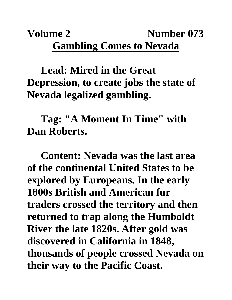# **Volume 2 Number 073 Gambling Comes to Nevada**

### **Lead: Mired in the Great Depression, to create jobs the state of Nevada legalized gambling.**

# **Tag: "A Moment In Time" with Dan Roberts.**

**Content: Nevada was the last area of the continental United States to be explored by Europeans. In the early 1800s British and American fur traders crossed the territory and then returned to trap along the Humboldt River the late 1820s. After gold was discovered in California in 1848, thousands of people crossed Nevada on their way to the Pacific Coast.**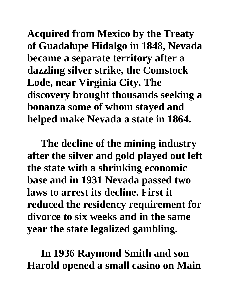**Acquired from Mexico by the Treaty of Guadalupe Hidalgo in 1848, Nevada became a separate territory after a dazzling silver strike, the Comstock Lode, near Virginia City. The discovery brought thousands seeking a bonanza some of whom stayed and helped make Nevada a state in 1864.** 

**The decline of the mining industry after the silver and gold played out left the state with a shrinking economic base and in 1931 Nevada passed two laws to arrest its decline. First it reduced the residency requirement for divorce to six weeks and in the same year the state legalized gambling.** 

**In 1936 Raymond Smith and son Harold opened a small casino on Main**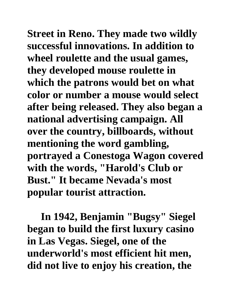**Street in Reno. They made two wildly successful innovations. In addition to wheel roulette and the usual games, they developed mouse roulette in which the patrons would bet on what color or number a mouse would select after being released. They also began a national advertising campaign. All over the country, billboards, without mentioning the word gambling, portrayed a Conestoga Wagon covered with the words, "Harold's Club or Bust." It became Nevada's most popular tourist attraction.**

**In 1942, Benjamin "Bugsy" Siegel began to build the first luxury casino in Las Vegas. Siegel, one of the underworld's most efficient hit men, did not live to enjoy his creation, the**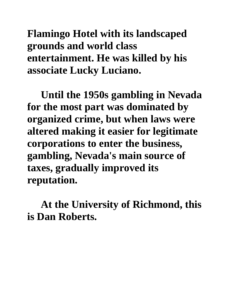**Flamingo Hotel with its landscaped grounds and world class entertainment. He was killed by his associate Lucky Luciano.** 

**Until the 1950s gambling in Nevada for the most part was dominated by organized crime, but when laws were altered making it easier for legitimate corporations to enter the business, gambling, Nevada's main source of taxes, gradually improved its reputation.**

**At the University of Richmond, this is Dan Roberts.**